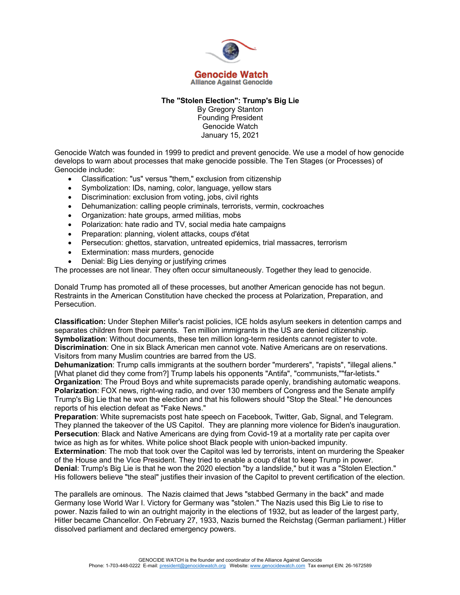

## **The "Stolen Election": Trump's Big Lie**

By Gregory Stanton Founding President Genocide Watch January 15, 2021

Genocide Watch was founded in 1999 to predict and prevent genocide. We use a model of how genocide develops to warn about processes that make genocide possible. The Ten Stages (or Processes) of Genocide include:

- Classification: "us" versus "them," exclusion from citizenship
- Symbolization: IDs, naming, color, language, yellow stars
- Discrimination: exclusion from voting, jobs, civil rights
- Dehumanization: calling people criminals, terrorists, vermin, cockroaches
- Organization: hate groups, armed militias, mobs
- Polarization: hate radio and TV, social media hate campaigns
- Preparation: planning, violent attacks, coups d'état
- Persecution: ghettos, starvation, untreated epidemics, trial massacres, terrorism
- Extermination: mass murders, genocide
- Denial: Big Lies denying or justifying crimes

The processes are not linear. They often occur simultaneously. Together they lead to genocide.

Donald Trump has promoted all of these processes, but another American genocide has not begun. Restraints in the American Constitution have checked the process at Polarization, Preparation, and Persecution.

**Classification:** Under Stephen Miller's racist policies, ICE holds asylum seekers in detention camps and separates children from their parents. Ten million immigrants in the US are denied citizenship. **Symbolization**: Without documents, these ten million long-term residents cannot register to vote. **Discrimination**: One in six Black American men cannot vote. Native Americans are on reservations. Visitors from many Muslim countries are barred from the US.

**Dehumanization**: Trump calls immigrants at the southern border "murderers", "rapists", "illegal aliens." [What planet did they come from?] Trump labels his opponents "Antifa", "communists,""far-letists." **Organization**: The Proud Boys and white supremacists parade openly, brandishing automatic weapons. **Polarization**: FOX news, right-wing radio, and over 130 members of Congress and the Senate amplify Trump's Big Lie that he won the election and that his followers should "Stop the Steal." He denounces reports of his election defeat as "Fake News."

**Preparation**: White supremacists post hate speech on Facebook, Twitter, Gab, Signal, and Telegram. They planned the takeover of the US Capitol. They are planning more violence for Biden's inauguration. **Persecution**: Black and Native Americans are dying from Covid-19 at a mortality rate per capita over twice as high as for whites. White police shoot Black people with union-backed impunity.

**Extermination**: The mob that took over the Capitol was led by terrorists, intent on murdering the Speaker of the House and the Vice President. They tried to enable a coup d'état to keep Trump in power. **Denial**: Trump's Big Lie is that he won the 2020 election "by a landslide," but it was a "Stolen Election." His followers believe "the steal" justifies their invasion of the Capitol to prevent certification of the election.

The parallels are ominous. The Nazis claimed that Jews "stabbed Germany in the back" and made Germany lose World War I. Victory for Germany was "stolen." The Nazis used this Big Lie to rise to power. Nazis failed to win an outright majority in the elections of 1932, but as leader of the largest party, Hitler became Chancellor. On February 27, 1933, Nazis burned the Reichstag (German parliament.) Hitler dissolved parliament and declared emergency powers.